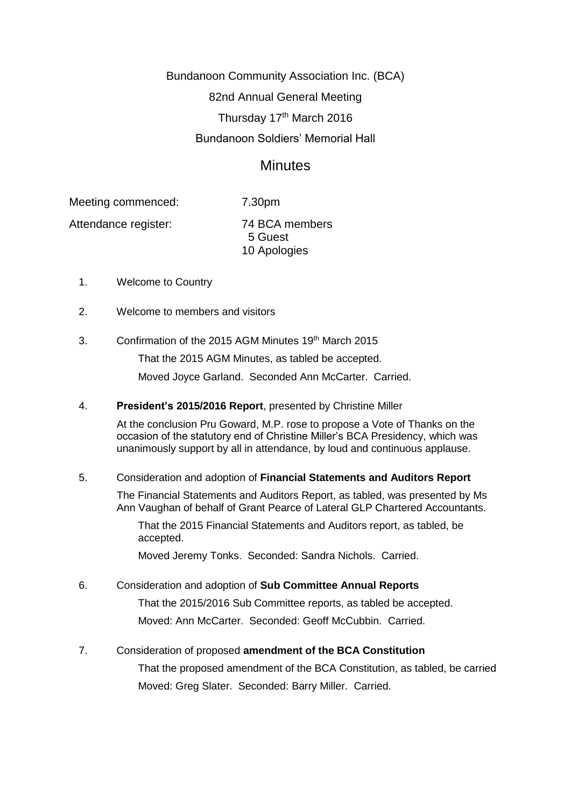Bundanoon Community Association Inc. (BCA) 82nd Annual General Meeting Thursday 17th March 2016 Bundanoon Soldiers' Memorial Hall

# **Minutes**

Meeting commenced: 7.30pm

Attendance register: 74 BCA members

 5 Guest 10 Apologies

- 1. Welcome to Country
- 2. Welcome to members and visitors
- 3. Confirmation of the 2015 AGM Minutes 19<sup>th</sup> March 2015

That the 2015 AGM Minutes, as tabled be accepted. Moved Joyce Garland. Seconded Ann McCarter. Carried.

4. **President's 2015/2016 Report**, presented by Christine Miller

At the conclusion Pru Goward, M.P. rose to propose a Vote of Thanks on the occasion of the statutory end of Christine Miller's BCA Presidency, which was unanimously support by all in attendance, by loud and continuous applause.

## 5. Consideration and adoption of **Financial Statements and Auditors Report**

The Financial Statements and Auditors Report, as tabled, was presented by Ms Ann Vaughan of behalf of Grant Pearce of Lateral GLP Chartered Accountants.

That the 2015 Financial Statements and Auditors report, as tabled, be accepted.

Moved Jeremy Tonks. Seconded: Sandra Nichols. Carried.

## 6. Consideration and adoption of **Sub Committee Annual Reports**

That the 2015/2016 Sub Committee reports, as tabled be accepted. Moved: Ann McCarter. Seconded: Geoff McCubbin. Carried.

## 7. Consideration of proposed **amendment of the BCA Constitution**

That the proposed amendment of the BCA Constitution, as tabled, be carried Moved: Greg Slater. Seconded: Barry Miller. Carried.